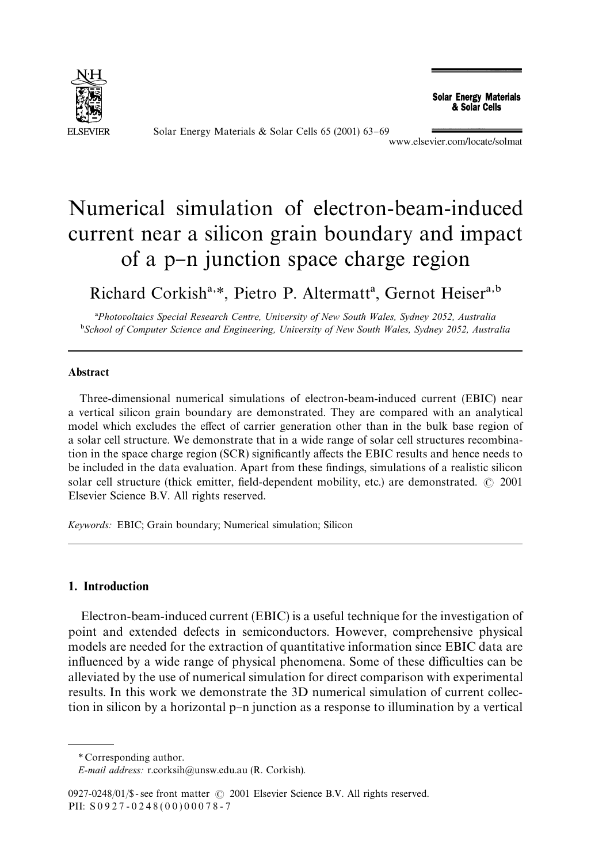

Solar Energy Materials & Solar Cells 65 (2001) 63-69<br>www.elsevier.com/locate/solmat

**Solar Energy Materials** & Solar Cells

# Numerical simulation of electron-beam-induced current near a silicon grain boundary and impact of a p-n junction space charge region

Richard Corkish<sup>a,\*</sup>, Pietro P. Altermatt<sup>a</sup>, Gernot Heiser<sup>a,b</sup>

!*Photovoltaics Special Research Centre, University of New South Wales, Sydney 2052, Australia* "*School of Computer Science and Engineering, University of New South Wales, Sydney 2052, Australia*

## Abstract

Three-dimensional numerical simulations of electron-beam-induced current (EBIC) near a vertical silicon grain boundary are demonstrated. They are compared with an analytical model which excludes the effect of carrier generation other than in the bulk base region of a solar cell structure. We demonstrate that in a wide range of solar cell structures recombination in the space charge region (SCR) significantly affects the EBIC results and hence needs to be included in the data evaluation. Apart from these findings, simulations of a realistic silicon solar cell structure (thick emitter, field-dependent mobility, etc.) are demonstrated.  $\odot$  2001 Elsevier Science B.V. All rights reserved.

*Keywords:* EBIC; Grain boundary; Numerical simulation; Silicon

## 1. Introduction

Electron-beam-induced current (EBIC) is a useful technique for the investigation of point and extended defects in semiconductors. However, comprehensive physical models are needed for the extraction of quantitative information since EBIC data are influenced by a wide range of physical phenomena. Some of these difficulties can be alleviated by the use of numerical simulation for direct comparison with experimental results. In this work we demonstrate the 3D numerical simulation of current collection in silicon by a horizontal p-n junction as a response to illumination by a vertical

*<sup>\*</sup>* Corresponding author.

*E-mail address:* r.corksih@unsw.edu.au (R. Corkish).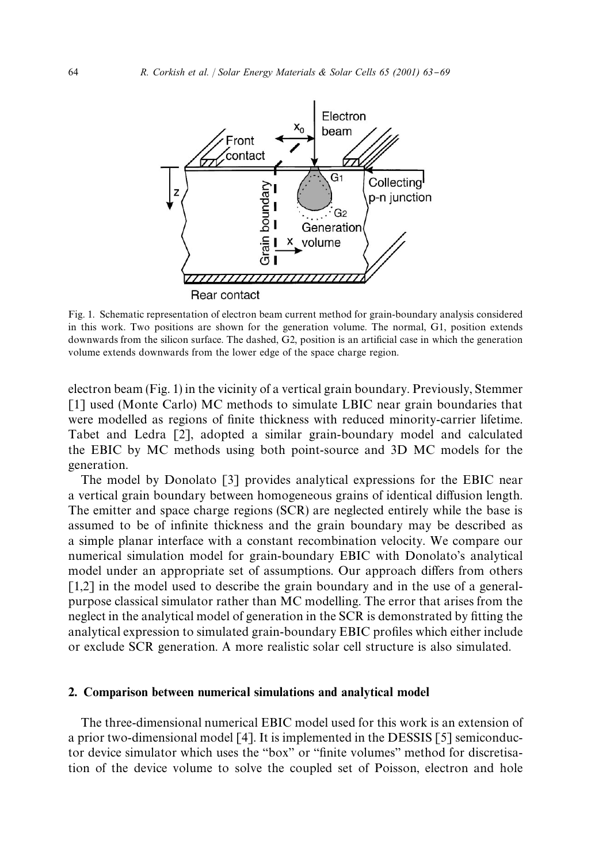

Fig. 1. Schematic representation of electron beam current method for grain-boundary analysis considered in this work. Two positions are shown for the generation volume. The normal, G1, position extends downwards from the silicon surface. The dashed,  $G2$ , position is an artificial case in which the generation volume extends downwards from the lower edge of the space charge region.

electron beam (Fig. 1) in the vicinity of a vertical grain boundary. Previously, Stemmer [1] used (Monte Carlo) MC methods to simulate LBIC near grain boundaries that were modelled as regions of finite thickness with reduced minority-carrier lifetime. Tabet and Ledra [2], adopted a similar grain-boundary model and calculated the EBIC by MC methods using both point-source and 3D MC models for the generation.

The model by Donolato [3] provides analytical expressions for the EBIC near a vertical grain boundary between homogeneous grains of identical diffusion length. The emitter and space charge regions (SCR) are neglected entirely while the base is assumed to be of infinite thickness and the grain boundary may be described as a simple planar interface with a constant recombination velocity. We compare our numerical simulation model for grain-boundary EBIC with Donolato's analytical model under an appropriate set of assumptions. Our approach differs from others  $[1,2]$  in the model used to describe the grain boundary and in the use of a generalpurpose classical simulator rather than MC modelling. The error that arises from the neglect in the analytical model of generation in the SCR is demonstrated by fitting the analytical expression to simulated grain-boundary EBIC profiles which either include or exclude SCR generation. A more realistic solar cell structure is also simulated.

### 2. Comparison between numerical simulations and analytical model

The three-dimensional numerical EBIC model used for this work is an extension of a prior two-dimensional model [4]. It is implemented in the DESSIS [5] semiconductor device simulator which uses the "box" or "finite volumes" method for discretisation of the device volume to solve the coupled set of Poisson, electron and hole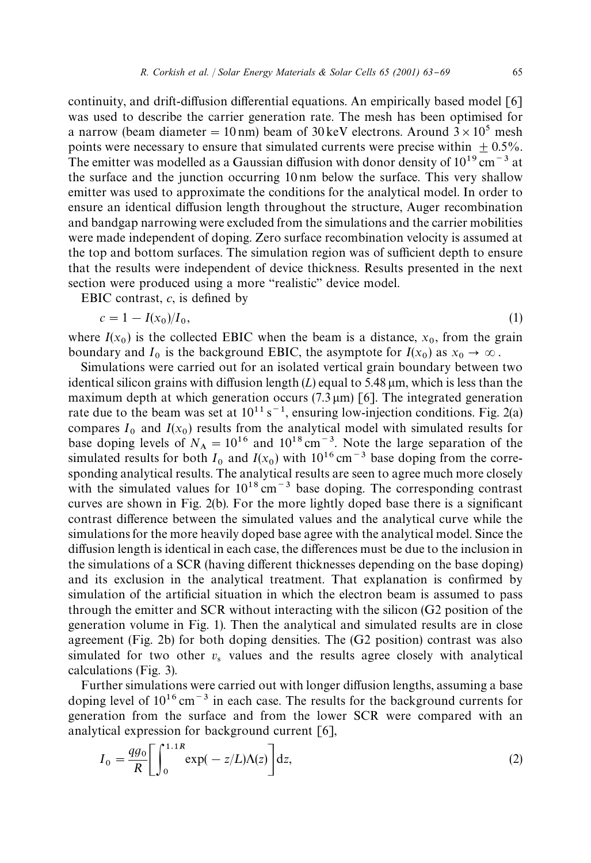continuity, and drift-diffusion differential equations. An empirically based model  $\lceil 6 \rceil$ was used to describe the carrier generation rate. The mesh has been optimised for a narrow (beam diameter = 10 nm) beam of 30 keV electrons. Around  $3 \times 10^5$  mesh points were necessary to ensure that simulated currents were precise within  $+0.5\%$ . The emitter was modelled as a Gaussian diffusion with donor density of  $10^{19}$  cm<sup>-3</sup> at the surface and the junction occurring 10 nm below the surface. This very shallow emitter was used to approximate the conditions for the analytical model. In order to ensure an identical diffusion length throughout the structure, Auger recombination and bandgap narrowing were excluded from the simulations and the carrier mobilities were made independent of doping. Zero surface recombination velocity is assumed at the top and bottom surfaces. The simulation region was of sufficient depth to ensure that the results were independent of device thickness. Results presented in the next section were produced using a more "realistic" device model.

EBIC contrast,  $c$ , is defined by

$$
c = 1 - I(x_0)/I_0,
$$
\n(1)

where  $I(x_0)$  is the collected EBIC when the beam is a distance,  $x_0$ , from the grain boundary and  $I_0$  is the background EBIC, the asymptote for  $I(x_0)$  as  $x_0 \to \infty$ .

Unidary and  $T_0$  is the background EBIC, the asymptote for  $T(x_0)$  as  $x_0 \to \infty$ .<br>Simulations were carried out for an isolated vertical grain boundary between two identical silicon grains with diffusion length  $(L)$  equal to 5.48  $\mu$ m, which is less than the maximum depth at which generation occurs  $(7.3 \,\mu\text{m})$  [6]. The integrated generation rate due to the beam was set at  $10^{11}$  s<sup>-1</sup>, ensuring low-injection conditions. Fig. 2(a) compares  $I_0$  and  $I(x_0)$  results from the analytical model with simulated results for base doping levels of  $N_A = 10^{16}$  and  $10^{18}$  cm<sup>-3</sup>. Note the large separation of the simulated results for both  $I_0$  and  $I(x_0)$  with  $10^{16}$  cm<sup>-3</sup> base doping from the corresimulated results for both  $T_0$  and  $T(x_0)$  with 10 cm closed doping from the corresponding analytical results. The analytical results are seen to agree much more closely with the simulated values for  $10^{18}$  cm<sup> $-3$ </sup> base doping. The corresponding contrast curves are shown in Fig.  $2(b)$ . For the more lightly doped base there is a significant contrast difference between the simulated values and the analytical curve while the simulations for the more heavily doped base agree with the analytical model. Since the diffusion length is identical in each case, the differences must be due to the inclusion in the simulations of a SCR (having different thicknesses depending on the base doping) and its exclusion in the analytical treatment. That explanation is confirmed by simulation of the artificial situation in which the electron beam is assumed to pass through the emitter and SCR without interacting with the silicon (G2 position of the generation volume in Fig. 1). Then the analytical and simulated results are in close agreement (Fig. 2b) for both doping densities. The (G2 position) contrast was also simulated for two other  $v_s$  values and the results agree closely with analytical calculations (Fig. 3).

Further simulations were carried out with longer diffusion lengths, assuming a base doping level of  $10^{16}$  cm<sup>-3</sup> in each case. The results for the background currents for generation from the surface and from the lower SCR were compared with an analytical expression for background current [6],

$$
I_0 = \frac{qg_0}{R} \left[ \int_0^{1.1R} \exp(-z/L) \Lambda(z) \right] dz,
$$
 (2)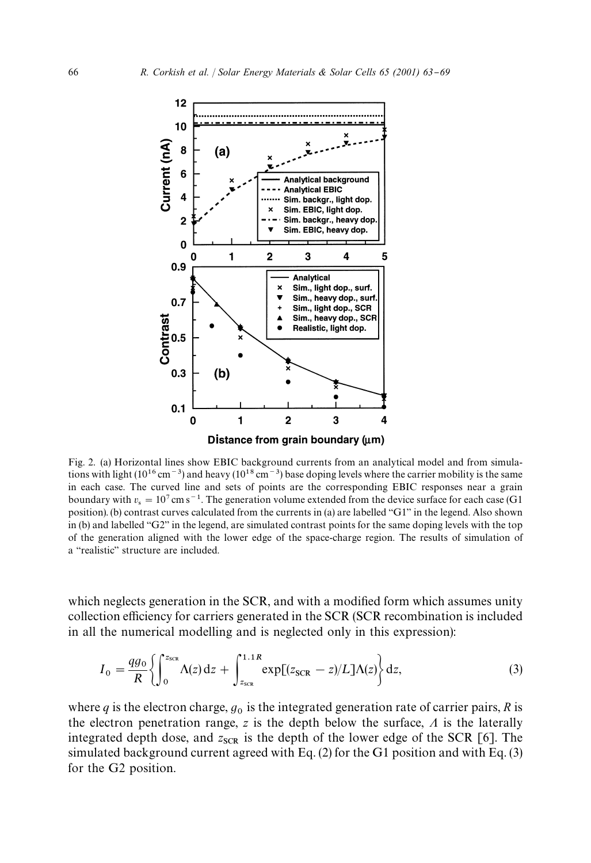

Fig. 2. (a) Horizontal lines show EBIC background currents from an analytical model and from simulations with light ( $10^{16}$  cm<sup>-3</sup>) and heavy ( $10^{18}$  cm<sup>-3</sup>) base doping levels where the carrier mobility is the same in each case. The curved line and sets of points are the corresponding EBIC responses near a grain boundary with  $v_s = 10^7 \text{ cm s}^{-1}$ . The generation volume extended from the device surface for each case (G1) position). (b) contrast curves calculated from the currents in (a) are labelled "G1" in the legend. Also shown in (b) and labelled "G2" in the legend, are simulated contrast points for the same doping levels with the top of the generation aligned with the lower edge of the space-charge region. The results of simulation of a "realistic" structure are included.

which neglects generation in the SCR, and with a modified form which assumes unity collection efficiency for carriers generated in the SCR (SCR recombination is included in all the numerical modelling and is neglected only in this expression):

$$
I_0 = \frac{qg_0}{R} \left\{ \int_0^{z_{\text{SCR}}} \Lambda(z) dz + \int_{z_{\text{SCR}}}^{1.1R} \exp[(z_{\text{SCR}} - z)/L] \Lambda(z) \right\} dz, \tag{3}
$$

where  $q$  is the electron charge,  $g_0$  is the integrated generation rate of carrier pairs,  $R$  is the electron penetration range,  $z$  is the depth below the surface,  $\Lambda$  is the laterally integrated depth dose, and  $z_{\text{SCR}}$  is the depth of the lower edge of the SCR [6]. The simulated background current agreed with Eq. (2) for the G1 position and with Eq. (3) for the G2 position.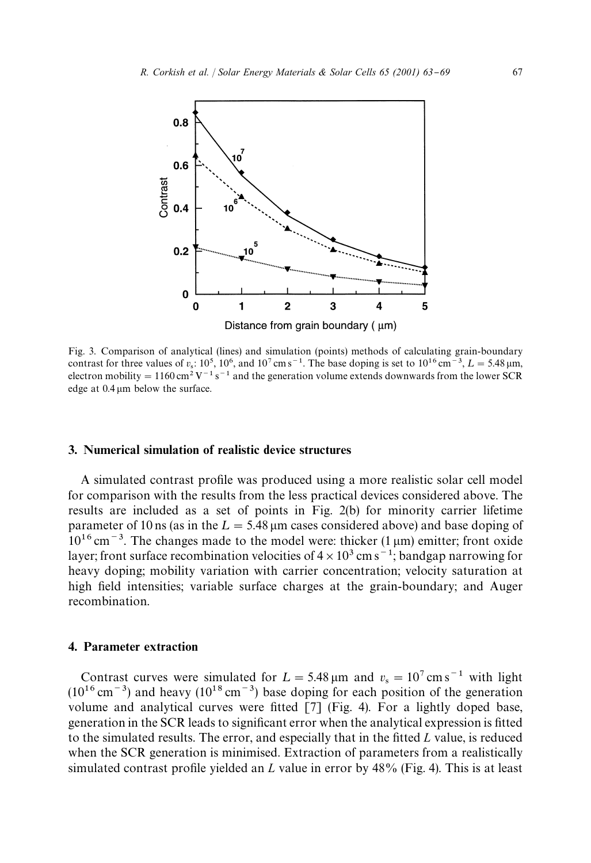

Fig. 3. Comparison of analytical (lines) and simulation (points) methods of calculating grain-boundary contrast for three values of  $v_s$ : 10<sup>5</sup>, 10<sup>6</sup>, and 10<sup>7</sup> cm s<sup>-1</sup>. The base doping is set to 10<sup>16</sup> cm<sup>-3</sup>,  $L = 5.48 \,\mu$ m, electron mobility = 1160 cm<sup>2</sup> V<sup>-1</sup> s<sup>-1</sup> and the generation volume extends downwards from the lower SCR edge at  $0.4 \mu m$  below the surface.

## 3. Numerical simulation of realistic device structures

A simulated contrast profile was produced using a more realistic solar cell model for comparison with the results from the less practical devices considered above. The results are included as a set of points in Fig. 2(b) for minority carrier lifetime parameter of 10 ns (as in the  $L = 5.48 \mu m$  cases considered above) and base doping of  $10^{16}$  cm<sup>-3</sup>. The changes made to the model were: thicker (1  $\mu$ m) emitter; front oxide layer; front surface recombination velocities of  $4 \times 10^3$  cm s<sup>-1</sup>; bandgap narrowing for heavy doping; mobility variation with carrier concentration; velocity saturation at high field intensities; variable surface charges at the grain-boundary; and Auger recombination.

#### 4. Parameter extraction

Contrast curves were simulated for  $L = 5.48 \text{ µm}$  and  $v_s = 10^7 \text{ cm s}^{-1}$  with light  $(10^{16} \text{ cm}^{-3})$  and heavy  $(10^{18} \text{ cm}^{-3})$  base doping for each position of the generation volume and analytical curves were fitted  $[7]$  (Fig. 4). For a lightly doped base, generation in the SCR leads to significant error when the analytical expression is fitted to the simulated results. The error, and especially that in the fitted *L* value, is reduced when the SCR generation is minimised. Extraction of parameters from a realistically simulated contrast profile yielded an *L* value in error by 48% (Fig. 4). This is at least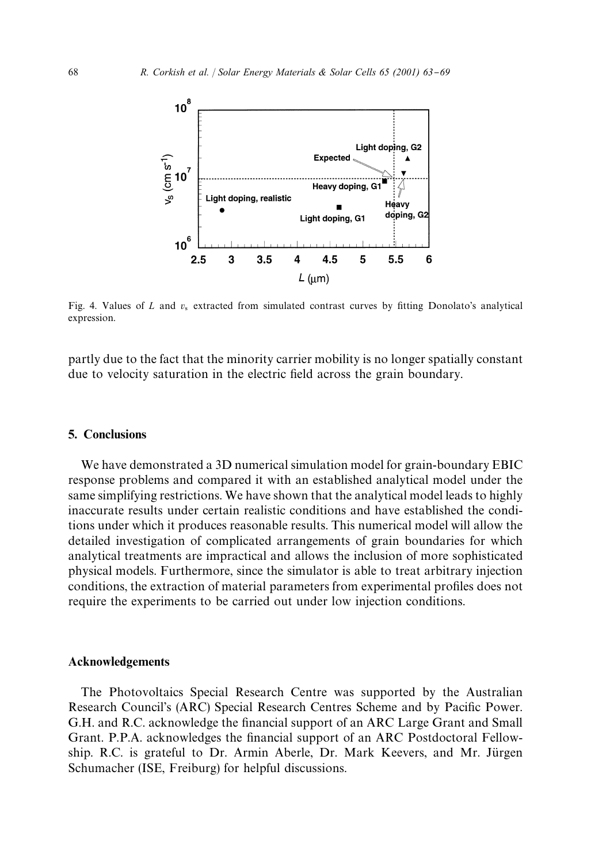

Fig. 4. Values of  $L$  and  $v_s$  extracted from simulated contrast curves by fitting Donolato's analytical expression.

partly due to the fact that the minority carrier mobility is no longer spatially constant due to velocity saturation in the electric field across the grain boundary.

## 5. Conclusions

We have demonstrated a 3D numerical simulation model for grain-boundary EBIC response problems and compared it with an established analytical model under the same simplifying restrictions. We have shown that the analytical model leads to highly inaccurate results under certain realistic conditions and have established the conditions under which it produces reasonable results. This numerical model will allow the detailed investigation of complicated arrangements of grain boundaries for which analytical treatments are impractical and allows the inclusion of more sophisticated physical models. Furthermore, since the simulator is able to treat arbitrary injection conditions, the extraction of material parameters from experimental profiles does not require the experiments to be carried out under low injection conditions.

## Acknowledgements

The Photovoltaics Special Research Centre was supported by the Australian Research Council's (ARC) Special Research Centres Scheme and by Pacific Power. G.H. and R.C. acknowledge the financial support of an ARC Large Grant and Small Grant. P.P.A. acknowledges the financial support of an ARC Postdoctoral Fellowship. R.C. is grateful to Dr. Armin Aberle, Dr. Mark Keevers, and Mr. Jürgen Schumacher (ISE, Freiburg) for helpful discussions.